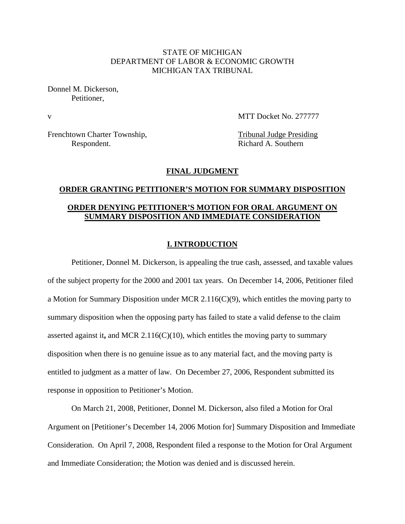#### STATE OF MICHIGAN DEPARTMENT OF LABOR & ECONOMIC GROWTH MICHIGAN TAX TRIBUNAL

Donnel M. Dickerson, Petitioner,

v MTT Docket No. 277777

Frenchtown Charter Township, Tribunal Judge Presiding Respondent. Richard A. Southern

#### **FINAL JUDGMENT**

# **ORDER GRANTING PETITIONER'S MOTION FOR SUMMARY DISPOSITION ORDER DENYING PETITIONER'S MOTION FOR ORAL ARGUMENT ON SUMMARY DISPOSITION AND IMMEDIATE CONSIDERATION**

#### **I. INTRODUCTION**

Petitioner, Donnel M. Dickerson, is appealing the true cash, assessed, and taxable values of the subject property for the 2000 and 2001 tax years. On December 14, 2006, Petitioner filed a Motion for Summary Disposition under MCR 2.116(C)(9), which entitles the moving party to summary disposition when the opposing party has failed to state a valid defense to the claim asserted against it**,** and MCR 2.116(C)(10), which entitles the moving party to summary disposition when there is no genuine issue as to any material fact, and the moving party is entitled to judgment as a matter of law. On December 27, 2006, Respondent submitted its response in opposition to Petitioner's Motion.

On March 21, 2008, Petitioner, Donnel M. Dickerson, also filed a Motion for Oral Argument on [Petitioner's December 14, 2006 Motion for] Summary Disposition and Immediate Consideration. On April 7, 2008, Respondent filed a response to the Motion for Oral Argument and Immediate Consideration; the Motion was denied and is discussed herein.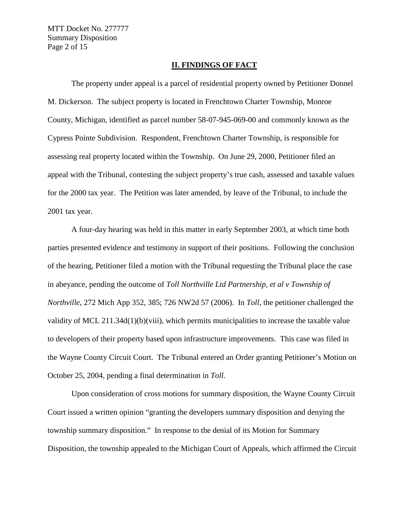MTT Docket No. 277777 Summary Disposition Page 2 of 15

#### **II. FINDINGS OF FACT**

The property under appeal is a parcel of residential property owned by Petitioner Donnel M. Dickerson. The subject property is located in Frenchtown Charter Township, Monroe County, Michigan, identified as parcel number 58-07-945-069-00 and commonly known as the Cypress Pointe Subdivision. Respondent, Frenchtown Charter Township, is responsible for assessing real property located within the Township. On June 29, 2000, Petitioner filed an appeal with the Tribunal, contesting the subject property's true cash, assessed and taxable values for the 2000 tax year. The Petition was later amended, by leave of the Tribunal, to include the 2001 tax year.

A four-day hearing was held in this matter in early September 2003, at which time both parties presented evidence and testimony in support of their positions. Following the conclusion of the hearing, Petitioner filed a motion with the Tribunal requesting the Tribunal place the case in abeyance, pending the outcome of *Toll Northville Ltd Partnership, et al v Township of Northville*, 272 Mich App 352, 385; 726 NW2d 57 (2006). In *Toll*, the petitioner challenged the validity of MCL 211.34d(1)(b)(viii), which permits municipalities to increase the taxable value to developers of their property based upon infrastructure improvements. This case was filed in the Wayne County Circuit Court. The Tribunal entered an Order granting Petitioner's Motion on October 25, 2004, pending a final determination in *Toll*.

Upon consideration of cross motions for summary disposition, the Wayne County Circuit Court issued a written opinion "granting the developers summary disposition and denying the township summary disposition." In response to the denial of its Motion for Summary Disposition, the township appealed to the Michigan Court of Appeals, which affirmed the Circuit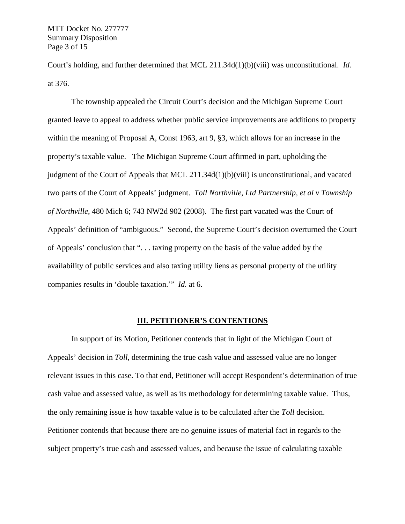MTT Docket No. 277777 Summary Disposition Page 3 of 15

Court's holding, and further determined that MCL 211.34d(1)(b)(viii) was unconstitutional. *Id.* at 376.

The township appealed the Circuit Court's decision and the Michigan Supreme Court granted leave to appeal to address whether public service improvements are additions to property within the meaning of Proposal A, Const 1963, art 9, §3, which allows for an increase in the property's taxable value. The Michigan Supreme Court affirmed in part, upholding the judgment of the Court of Appeals that MCL 211.34d(1)(b)(viii) is unconstitutional, and vacated two parts of the Court of Appeals' judgment. *Toll Northville, Ltd Partnership, et al v Township of Northville*, 480 Mich 6; 743 NW2d 902 (2008). The first part vacated was the Court of Appeals' definition of "ambiguous." Second, the Supreme Court's decision overturned the Court of Appeals' conclusion that ". . . taxing property on the basis of the value added by the availability of public services and also taxing utility liens as personal property of the utility companies results in 'double taxation.'" *Id.* at 6.

#### **III. PETITIONER'S CONTENTIONS**

In support of its Motion, Petitioner contends that in light of the Michigan Court of Appeals' decision in *Toll*, determining the true cash value and assessed value are no longer relevant issues in this case. To that end, Petitioner will accept Respondent's determination of true cash value and assessed value, as well as its methodology for determining taxable value. Thus, the only remaining issue is how taxable value is to be calculated after the *Toll* decision. Petitioner contends that because there are no genuine issues of material fact in regards to the subject property's true cash and assessed values, and because the issue of calculating taxable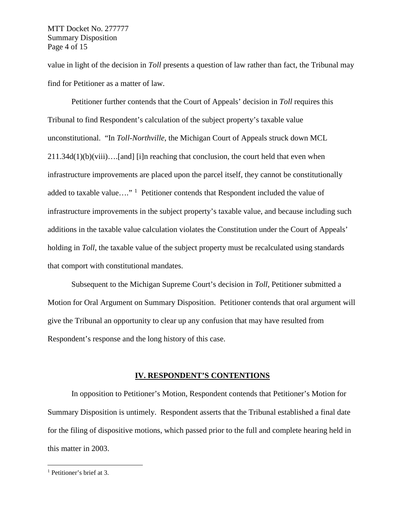#### MTT Docket No. 277777 Summary Disposition Page 4 of 15

value in light of the decision in *Toll* presents a question of law rather than fact, the Tribunal may find for Petitioner as a matter of law.

Petitioner further contends that the Court of Appeals' decision in *Toll* requires this Tribunal to find Respondent's calculation of the subject property's taxable value unconstitutional. "In *Toll-Northville*, the Michigan Court of Appeals struck down MCL  $211.34d(1)(b)(viii)...[and]$  [i]n reaching that conclusion, the court held that even when infrastructure improvements are placed upon the parcel itself, they cannot be constitutionally added to taxable value...."<sup>[1](#page-3-0)</sup> Petitioner contends that Respondent included the value of infrastructure improvements in the subject property's taxable value, and because including such additions in the taxable value calculation violates the Constitution under the Court of Appeals' holding in *Toll*, the taxable value of the subject property must be recalculated using standards that comport with constitutional mandates.

Subsequent to the Michigan Supreme Court's decision in *Toll*, Petitioner submitted a Motion for Oral Argument on Summary Disposition. Petitioner contends that oral argument will give the Tribunal an opportunity to clear up any confusion that may have resulted from Respondent's response and the long history of this case.

#### **IV. RESPONDENT'S CONTENTIONS**

In opposition to Petitioner's Motion, Respondent contends that Petitioner's Motion for Summary Disposition is untimely. Respondent asserts that the Tribunal established a final date for the filing of dispositive motions, which passed prior to the full and complete hearing held in this matter in 2003.

<span id="page-3-0"></span> <sup>1</sup> Petitioner's brief at 3.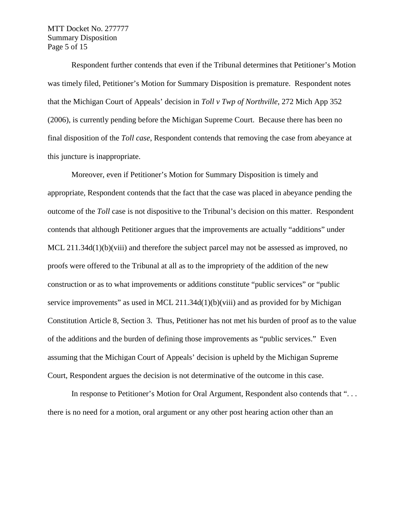MTT Docket No. 277777 Summary Disposition Page 5 of 15

Respondent further contends that even if the Tribunal determines that Petitioner's Motion was timely filed, Petitioner's Motion for Summary Disposition is premature. Respondent notes that the Michigan Court of Appeals' decision in *Toll v Twp of Northville*, 272 Mich App 352 (2006), is currently pending before the Michigan Supreme Court. Because there has been no final disposition of the *Toll case*, Respondent contends that removing the case from abeyance at this juncture is inappropriate.

Moreover, even if Petitioner's Motion for Summary Disposition is timely and appropriate, Respondent contends that the fact that the case was placed in abeyance pending the outcome of the *Toll* case is not dispositive to the Tribunal's decision on this matter. Respondent contends that although Petitioner argues that the improvements are actually "additions" under MCL 211.34d(1)(b)(viii) and therefore the subject parcel may not be assessed as improved, no proofs were offered to the Tribunal at all as to the impropriety of the addition of the new construction or as to what improvements or additions constitute "public services" or "public service improvements" as used in MCL 211.34d(1)(b)(viii) and as provided for by Michigan Constitution Article 8, Section 3. Thus, Petitioner has not met his burden of proof as to the value of the additions and the burden of defining those improvements as "public services." Even assuming that the Michigan Court of Appeals' decision is upheld by the Michigan Supreme Court, Respondent argues the decision is not determinative of the outcome in this case.

In response to Petitioner's Motion for Oral Argument, Respondent also contends that "... there is no need for a motion, oral argument or any other post hearing action other than an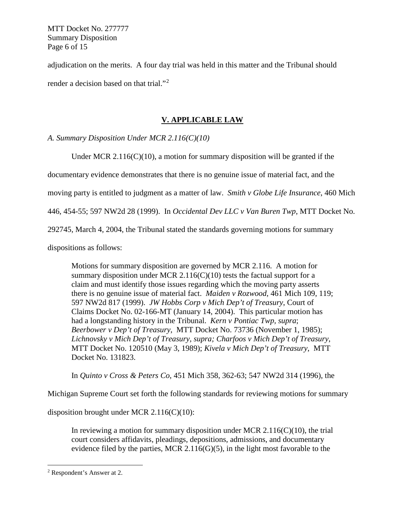MTT Docket No. 277777 Summary Disposition Page 6 of 15

adjudication on the merits. A four day trial was held in this matter and the Tribunal should render a decision based on that trial."<sup>[2](#page-5-0)</sup>

### **V. APPLICABLE LAW**

*A. Summary Disposition Under MCR 2.116(C)(10)*

Under MCR  $2.116(C)(10)$ , a motion for summary disposition will be granted if the

documentary evidence demonstrates that there is no genuine issue of material fact, and the

moving party is entitled to judgment as a matter of law. *Smith v Globe Life Insurance*, 460 Mich

446, 454-55; 597 NW2d 28 (1999). In *Occidental Dev LLC v Van Buren Twp*, MTT Docket No.

292745, March 4, 2004, the Tribunal stated the standards governing motions for summary

dispositions as follows:

Motions for summary disposition are governed by MCR 2.116. A motion for summary disposition under MCR  $2.116(C)(10)$  tests the factual support for a claim and must identify those issues regarding which the moving party asserts there is no genuine issue of material fact. *Maiden v Rozwood*, 461 Mich 109, 119; 597 NW2d 817 (1999). *JW Hobbs Corp v Mich Dep't of Treasury*, Court of Claims Docket No. 02-166-MT (January 14, 2004). This particular motion has had a longstanding history in the Tribunal. *Kern v Pontiac Twp, supra*; *Beerbower v Dep't of Treasury*, MTT Docket No. 73736 (November 1, 1985); *Lichnovsky v Mich Dep't of Treasury, supra; Charfoos v Mich Dep't of Treasury*, MTT Docket No. 120510 (May 3, 1989); *Kivela v Mich Dep't of Treasury*, MTT Docket No. 131823.

In *Quinto v Cross & Peters Co*, 451 Mich 358, 362-63; 547 NW2d 314 (1996), the

Michigan Supreme Court set forth the following standards for reviewing motions for summary

disposition brought under MCR 2.116(C)(10):

In reviewing a motion for summary disposition under MCR  $2.116(C)(10)$ , the trial court considers affidavits, pleadings, depositions, admissions, and documentary evidence filed by the parties, MCR 2.116(G)(5), in the light most favorable to the

<span id="page-5-0"></span> <sup>2</sup> Respondent's Answer at 2.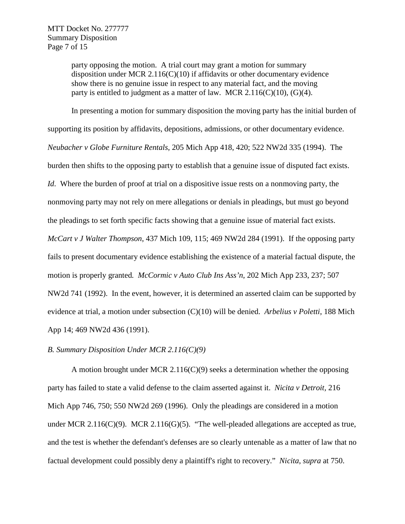party opposing the motion. A trial court may grant a motion for summary disposition under MCR 2.116(C)(10) if affidavits or other documentary evidence show there is no genuine issue in respect to any material fact, and the moving party is entitled to judgment as a matter of law. MCR  $2.116(C)(10)$ ,  $(G)(4)$ .

In presenting a motion for summary disposition the moving party has the initial burden of supporting its position by affidavits, depositions, admissions, or other documentary evidence. *Neubacher v Globe Furniture Rentals*, 205 Mich App 418, 420; 522 NW2d 335 (1994). The burden then shifts to the opposing party to establish that a genuine issue of disputed fact exists. *Id*. Where the burden of proof at trial on a dispositive issue rests on a nonmoving party, the nonmoving party may not rely on mere allegations or denials in pleadings, but must go beyond the pleadings to set forth specific facts showing that a genuine issue of material fact exists. *McCart v J Walter Thompson*, 437 Mich 109, 115; 469 NW2d 284 (1991). If the opposing party fails to present documentary evidence establishing the existence of a material factual dispute, the motion is properly granted*. McCormic v Auto Club Ins Ass'n*, 202 Mich App 233, 237; 507 NW2d 741 (1992). In the event, however, it is determined an asserted claim can be supported by evidence at trial, a motion under subsection (C)(10) will be denied. *Arbelius v Poletti*, 188 Mich App 14; 469 NW2d 436 (1991).

#### *B. Summary Disposition Under MCR 2.116(C)(9)*

A motion brought under MCR 2.116(C)(9) seeks a determination whether the opposing party has failed to state a valid defense to the claim asserted against it. *Nicita v Detroit,* 216 Mich App 746, 750; 550 NW2d 269 (1996). Only the pleadings are considered in a motion under MCR 2.116(C)(9). MCR 2.116(G)(5). "The well-pleaded allegations are accepted as true, and the test is whether the defendant's defenses are so clearly untenable as a matter of law that no factual development could possibly deny a plaintiff's right to recovery." *Nicita*, *supra* at 750.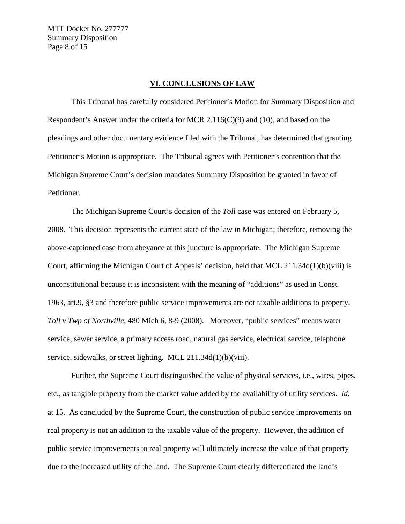MTT Docket No. 277777 Summary Disposition Page 8 of 15

#### **VI. CONCLUSIONS OF LAW**

This Tribunal has carefully considered Petitioner's Motion for Summary Disposition and Respondent's Answer under the criteria for MCR 2.116(C)(9) and (10), and based on the pleadings and other documentary evidence filed with the Tribunal, has determined that granting Petitioner's Motion is appropriate. The Tribunal agrees with Petitioner's contention that the Michigan Supreme Court's decision mandates Summary Disposition be granted in favor of Petitioner.

The Michigan Supreme Court's decision of the *Toll* case was entered on February 5, 2008. This decision represents the current state of the law in Michigan; therefore, removing the above-captioned case from abeyance at this juncture is appropriate. The Michigan Supreme Court, affirming the Michigan Court of Appeals' decision, held that MCL 211.34d(1)(b)(viii) is unconstitutional because it is inconsistent with the meaning of "additions" as used in Const. 1963, art.9, §3 and therefore public service improvements are not taxable additions to property. *Toll v Twp of Northville*, 480 Mich 6, 8-9 (2008). Moreover, "public services" means water service, sewer service, a primary access road, natural gas service, electrical service, telephone service, sidewalks, or street lighting. MCL 211.34d(1)(b)(viii).

Further, the Supreme Court distinguished the value of physical services, i.e., wires, pipes, etc., as tangible property from the market value added by the availability of utility services. *Id.*  at 15. As concluded by the Supreme Court, the construction of public service improvements on real property is not an addition to the taxable value of the property. However, the addition of public service improvements to real property will ultimately increase the value of that property due to the increased utility of the land. The Supreme Court clearly differentiated the land's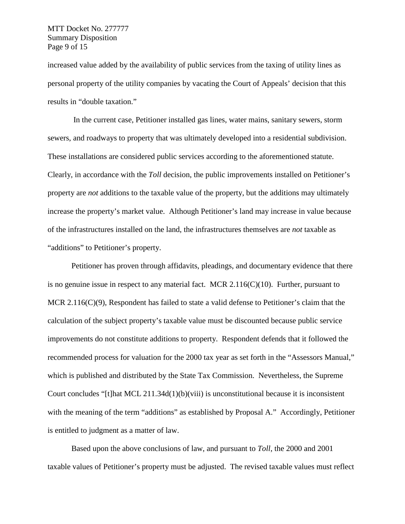MTT Docket No. 277777 Summary Disposition Page 9 of 15

increased value added by the availability of public services from the taxing of utility lines as personal property of the utility companies by vacating the Court of Appeals' decision that this results in "double taxation."

In the current case, Petitioner installed gas lines, water mains, sanitary sewers, storm sewers, and roadways to property that was ultimately developed into a residential subdivision. These installations are considered public services according to the aforementioned statute. Clearly, in accordance with the *Toll* decision, the public improvements installed on Petitioner's property are *not* additions to the taxable value of the property, but the additions may ultimately increase the property's market value. Although Petitioner's land may increase in value because of the infrastructures installed on the land, the infrastructures themselves are *not* taxable as "additions" to Petitioner's property.

Petitioner has proven through affidavits, pleadings, and documentary evidence that there is no genuine issue in respect to any material fact. MCR 2.116(C)(10). Further, pursuant to MCR 2.116(C)(9), Respondent has failed to state a valid defense to Petitioner's claim that the calculation of the subject property's taxable value must be discounted because public service improvements do not constitute additions to property. Respondent defends that it followed the recommended process for valuation for the 2000 tax year as set forth in the "Assessors Manual," which is published and distributed by the State Tax Commission. Nevertheless, the Supreme Court concludes "[t]hat MCL 211.34d(1)(b)(viii) is unconstitutional because it is inconsistent with the meaning of the term "additions" as established by Proposal A." Accordingly, Petitioner is entitled to judgment as a matter of law.

Based upon the above conclusions of law, and pursuant to *Toll*, the 2000 and 2001 taxable values of Petitioner's property must be adjusted. The revised taxable values must reflect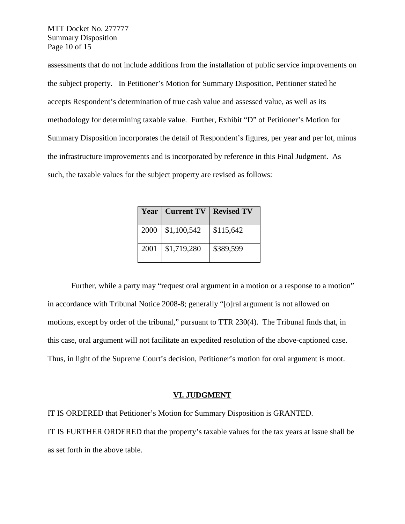MTT Docket No. 277777 Summary Disposition Page 10 of 15

assessments that do not include additions from the installation of public service improvements on the subject property. In Petitioner's Motion for Summary Disposition, Petitioner stated he accepts Respondent's determination of true cash value and assessed value, as well as its methodology for determining taxable value. Further, Exhibit "D" of Petitioner's Motion for Summary Disposition incorporates the detail of Respondent's figures, per year and per lot, minus the infrastructure improvements and is incorporated by reference in this Final Judgment. As such, the taxable values for the subject property are revised as follows:

|      | <b>Year   Current TV   Revised TV</b> |           |
|------|---------------------------------------|-----------|
|      | $2000 \mid $1,100,542$                | \$115,642 |
| 2001 | \$1,719,280                           | \$389,599 |

Further, while a party may "request oral argument in a motion or a response to a motion" in accordance with Tribunal Notice 2008-8; generally "[o]ral argument is not allowed on motions, except by order of the tribunal," pursuant to TTR 230(4). The Tribunal finds that, in this case, oral argument will not facilitate an expedited resolution of the above-captioned case. Thus, in light of the Supreme Court's decision, Petitioner's motion for oral argument is moot.

#### **VI. JUDGMENT**

IT IS ORDERED that Petitioner's Motion for Summary Disposition is GRANTED.

IT IS FURTHER ORDERED that the property's taxable values for the tax years at issue shall be as set forth in the above table.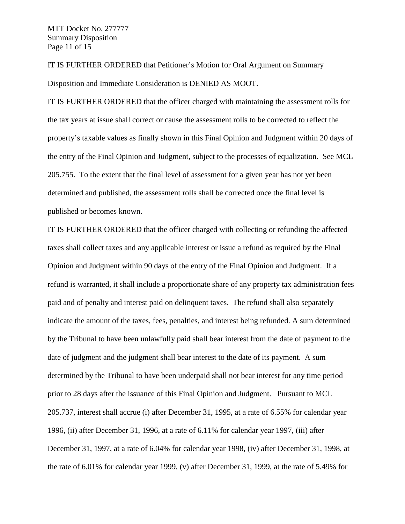IT IS FURTHER ORDERED that Petitioner's Motion for Oral Argument on Summary Disposition and Immediate Consideration is DENIED AS MOOT.

IT IS FURTHER ORDERED that the officer charged with maintaining the assessment rolls for the tax years at issue shall correct or cause the assessment rolls to be corrected to reflect the property's taxable values as finally shown in this Final Opinion and Judgment within 20 days of the entry of the Final Opinion and Judgment, subject to the processes of equalization. See MCL 205.755. To the extent that the final level of assessment for a given year has not yet been determined and published, the assessment rolls shall be corrected once the final level is published or becomes known.

IT IS FURTHER ORDERED that the officer charged with collecting or refunding the affected taxes shall collect taxes and any applicable interest or issue a refund as required by the Final Opinion and Judgment within 90 days of the entry of the Final Opinion and Judgment. If a refund is warranted, it shall include a proportionate share of any property tax administration fees paid and of penalty and interest paid on delinquent taxes. The refund shall also separately indicate the amount of the taxes, fees, penalties, and interest being refunded. A sum determined by the Tribunal to have been unlawfully paid shall bear interest from the date of payment to the date of judgment and the judgment shall bear interest to the date of its payment. A sum determined by the Tribunal to have been underpaid shall not bear interest for any time period prior to 28 days after the issuance of this Final Opinion and Judgment. Pursuant to MCL 205.737, interest shall accrue (i) after December 31, 1995, at a rate of 6.55% for calendar year 1996, (ii) after December 31, 1996, at a rate of 6.11% for calendar year 1997, (iii) after December 31, 1997, at a rate of 6.04% for calendar year 1998, (iv) after December 31, 1998, at the rate of 6.01% for calendar year 1999, (v) after December 31, 1999, at the rate of 5.49% for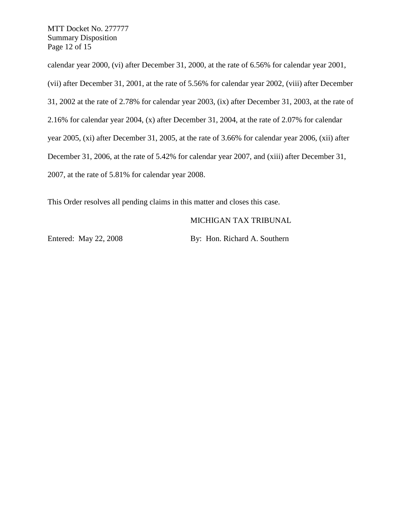MTT Docket No. 277777 Summary Disposition Page 12 of 15

calendar year 2000, (vi) after December 31, 2000, at the rate of 6.56% for calendar year 2001,

(vii) after December 31, 2001, at the rate of 5.56% for calendar year 2002, (viii) after December

31, 2002 at the rate of 2.78% for calendar year 2003, (ix) after December 31, 2003, at the rate of

2.16% for calendar year 2004, (x) after December 31, 2004, at the rate of 2.07% for calendar

year 2005, (xi) after December 31, 2005, at the rate of 3.66% for calendar year 2006, (xii) after

December 31, 2006, at the rate of 5.42% for calendar year 2007, and (xiii) after December 31,

2007, at the rate of 5.81% for calendar year 2008.

This Order resolves all pending claims in this matter and closes this case.

#### MICHIGAN TAX TRIBUNAL

Entered: May 22, 2008 By: Hon. Richard A. Southern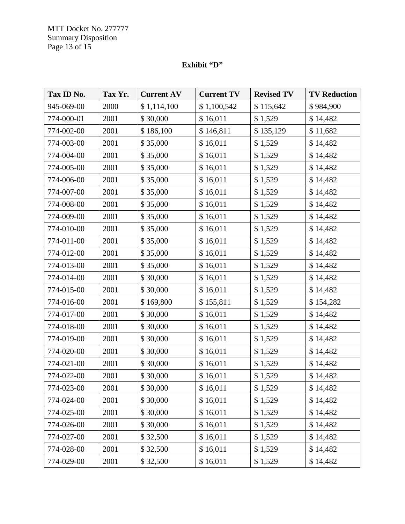MTT Docket No. 277777 Summary Disposition Page 13 of 15

## **Exhibit "D"**

| Tax ID No. | Tax Yr. | <b>Current AV</b> | <b>Current TV</b> | <b>Revised TV</b> | <b>TV Reduction</b> |
|------------|---------|-------------------|-------------------|-------------------|---------------------|
| 945-069-00 | 2000    | \$1,114,100       | \$1,100,542       | \$115,642         | \$984,900           |
| 774-000-01 | 2001    | \$30,000          | \$16,011          | \$1,529           | \$14,482            |
| 774-002-00 | 2001    | \$186,100         | \$146,811         | \$135,129         | \$11,682            |
| 774-003-00 | 2001    | \$35,000          | \$16,011          | \$1,529           | \$14,482            |
| 774-004-00 | 2001    | \$35,000          | \$16,011          | \$1,529           | \$14,482            |
| 774-005-00 | 2001    | \$35,000          | \$16,011          | \$1,529           | \$14,482            |
| 774-006-00 | 2001    | \$35,000          | \$16,011          | \$1,529           | \$14,482            |
| 774-007-00 | 2001    | \$35,000          | \$16,011          | \$1,529           | \$14,482            |
| 774-008-00 | 2001    | \$35,000          | \$16,011          | \$1,529           | \$14,482            |
| 774-009-00 | 2001    | \$35,000          | \$16,011          | \$1,529           | \$14,482            |
| 774-010-00 | 2001    | \$35,000          | \$16,011          | \$1,529           | \$14,482            |
| 774-011-00 | 2001    | \$35,000          | \$16,011          | \$1,529           | \$14,482            |
| 774-012-00 | 2001    | \$35,000          | \$16,011          | \$1,529           | \$14,482            |
| 774-013-00 | 2001    | \$35,000          | \$16,011          | \$1,529           | \$14,482            |
| 774-014-00 | 2001    | \$30,000          | \$16,011          | \$1,529           | \$14,482            |
| 774-015-00 | 2001    | \$30,000          | \$16,011          | \$1,529           | \$14,482            |
| 774-016-00 | 2001    | \$169,800         | \$155,811         | \$1,529           | \$154,282           |
| 774-017-00 | 2001    | \$30,000          | \$16,011          | \$1,529           | \$14,482            |
| 774-018-00 | 2001    | \$30,000          | \$16,011          | \$1,529           | \$14,482            |
| 774-019-00 | 2001    | \$30,000          | \$16,011          | \$1,529           | \$14,482            |
| 774-020-00 | 2001    | \$30,000          | \$16,011          | \$1,529           | \$14,482            |
| 774-021-00 | 2001    | \$30,000          | \$16,011          | \$1,529           | \$14,482            |
| 774-022-00 | 2001    | \$30,000          | \$16,011          | \$1,529           | \$14,482            |
| 774-023-00 | 2001    | \$30,000          | \$16,011          | \$1,529           | \$14,482            |
| 774-024-00 | 2001    | \$30,000          | \$16,011          | \$1,529           | \$14,482            |
| 774-025-00 | 2001    | \$30,000          | \$16,011          | \$1,529           | \$14,482            |
| 774-026-00 | 2001    | \$30,000          | \$16,011          | \$1,529           | \$14,482            |
| 774-027-00 | 2001    | \$32,500          | \$16,011          | \$1,529           | \$14,482            |
| 774-028-00 | 2001    | \$32,500          | \$16,011          | \$1,529           | \$14,482            |
| 774-029-00 | 2001    | \$32,500          | \$16,011          | \$1,529           | \$14,482            |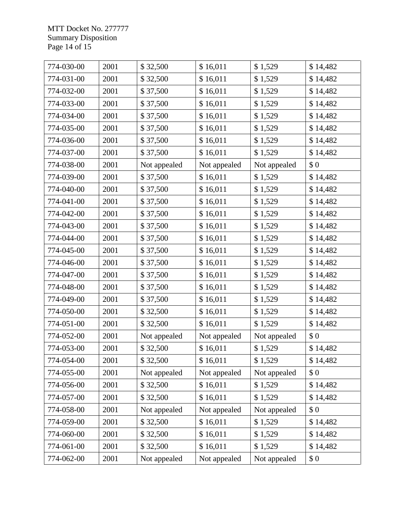MTT Docket No. 277777 Summary Disposition Page 14 of 15

| 774-030-00 | 2001 | \$32,500     | \$16,011     | \$1,529      | \$14,482 |
|------------|------|--------------|--------------|--------------|----------|
| 774-031-00 | 2001 | \$32,500     | \$16,011     | \$1,529      | \$14,482 |
| 774-032-00 | 2001 | \$37,500     | \$16,011     | \$1,529      | \$14,482 |
| 774-033-00 | 2001 | \$37,500     | \$16,011     | \$1,529      | \$14,482 |
| 774-034-00 | 2001 | \$37,500     | \$16,011     | \$1,529      | \$14,482 |
| 774-035-00 | 2001 | \$37,500     | \$16,011     | \$1,529      | \$14,482 |
| 774-036-00 | 2001 | \$37,500     | \$16,011     | \$1,529      | \$14,482 |
| 774-037-00 | 2001 | \$37,500     | \$16,011     | \$1,529      | \$14,482 |
| 774-038-00 | 2001 | Not appealed | Not appealed | Not appealed | \$0      |
| 774-039-00 | 2001 | \$37,500     | \$16,011     | \$1,529      | \$14,482 |
| 774-040-00 | 2001 | \$37,500     | \$16,011     | \$1,529      | \$14,482 |
| 774-041-00 | 2001 | \$37,500     | \$16,011     | \$1,529      | \$14,482 |
| 774-042-00 | 2001 | \$37,500     | \$16,011     | \$1,529      | \$14,482 |
| 774-043-00 | 2001 | \$37,500     | \$16,011     | \$1,529      | \$14,482 |
| 774-044-00 | 2001 | \$37,500     | \$16,011     | \$1,529      | \$14,482 |
| 774-045-00 | 2001 | \$37,500     | \$16,011     | \$1,529      | \$14,482 |
| 774-046-00 | 2001 | \$37,500     | \$16,011     | \$1,529      | \$14,482 |
| 774-047-00 | 2001 | \$37,500     | \$16,011     | \$1,529      | \$14,482 |
| 774-048-00 | 2001 | \$37,500     | \$16,011     | \$1,529      | \$14,482 |
| 774-049-00 | 2001 | \$37,500     | \$16,011     | \$1,529      | \$14,482 |
| 774-050-00 | 2001 | \$32,500     | \$16,011     | \$1,529      | \$14,482 |
| 774-051-00 | 2001 | \$32,500     | \$16,011     | \$1,529      | \$14,482 |
| 774-052-00 | 2001 | Not appealed | Not appealed | Not appealed | \$0      |
| 774-053-00 | 2001 | \$32,500     | \$16,011     | \$1,529      | \$14,482 |
| 774-054-00 | 2001 | \$32,500     | \$16,011     | \$1,529      | \$14,482 |
| 774-055-00 | 2001 | Not appealed | Not appealed | Not appealed | \$0      |
| 774-056-00 | 2001 | \$32,500     | \$16,011     | \$1,529      | \$14,482 |
| 774-057-00 | 2001 | \$32,500     | \$16,011     | \$1,529      | \$14,482 |
| 774-058-00 | 2001 | Not appealed | Not appealed | Not appealed | \$0      |
| 774-059-00 | 2001 | \$32,500     | \$16,011     | \$1,529      | \$14,482 |
| 774-060-00 | 2001 | \$32,500     | \$16,011     | \$1,529      | \$14,482 |
| 774-061-00 | 2001 | \$32,500     | \$16,011     | \$1,529      | \$14,482 |
| 774-062-00 | 2001 | Not appealed | Not appealed | Not appealed | \$0      |